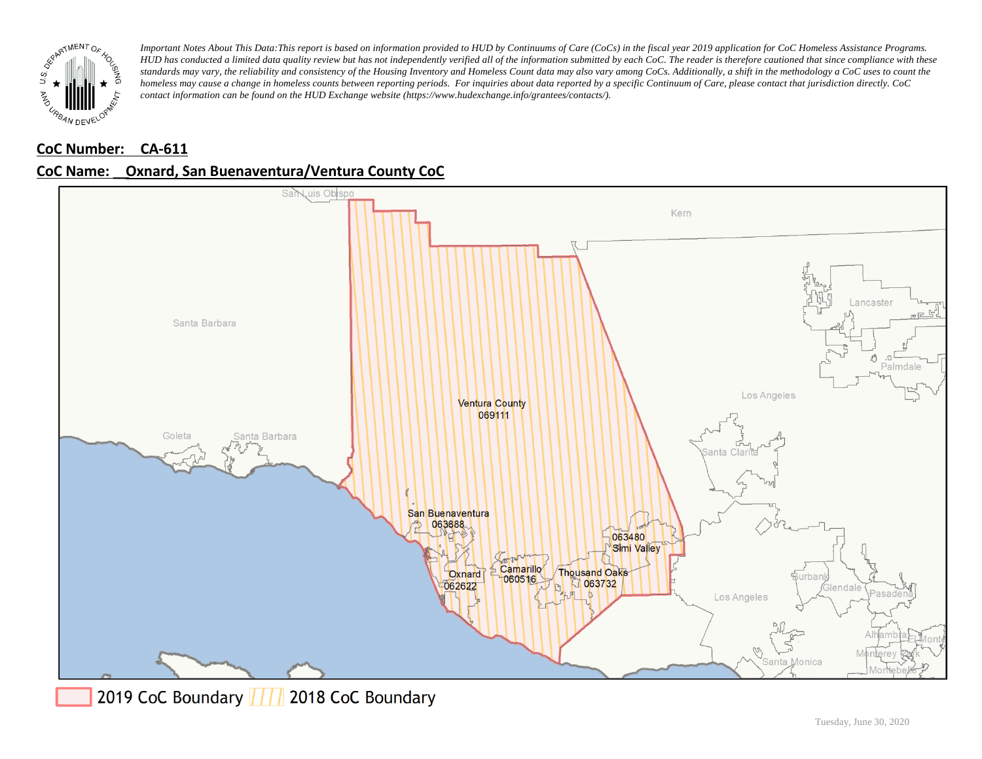

### **CoC Number: CA-611**



# **CoC Name: \_\_ Oxnard, San Buenaventura/Ventura County CoC**



2019 CoC Boundary | | | 2018 CoC Boundary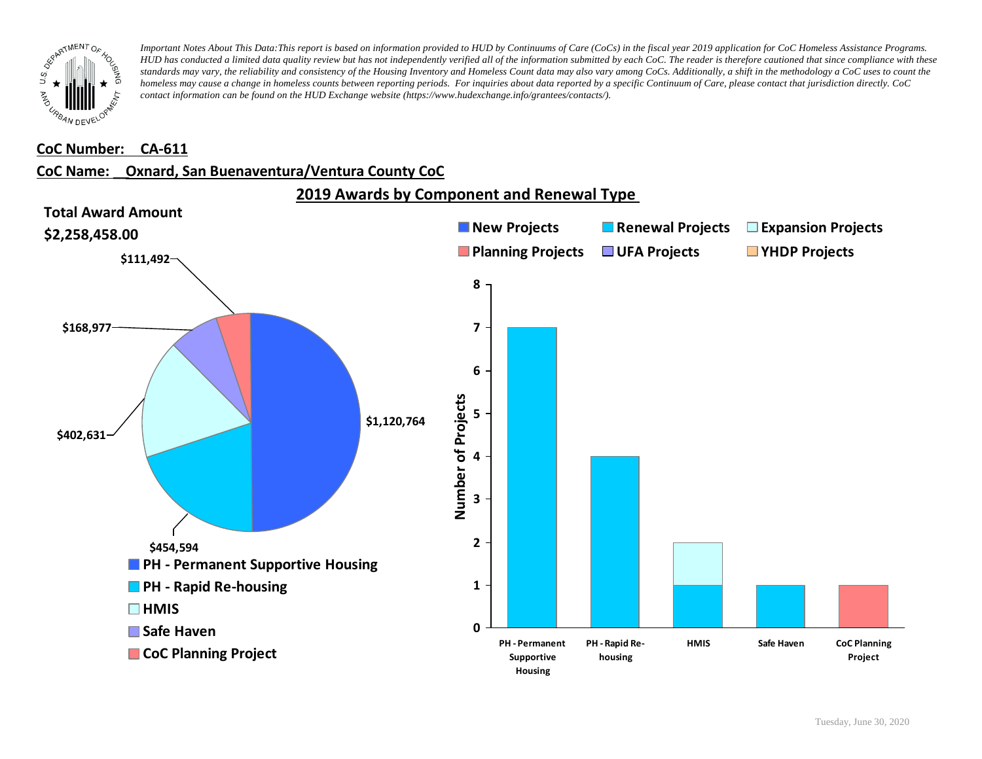

#### **CoC Number: CA-611**

#### **CoC Name: \_\_ Oxnard, San Buenaventura/Ventura County CoC**

**2019 Awards by Component and Renewal Type** 

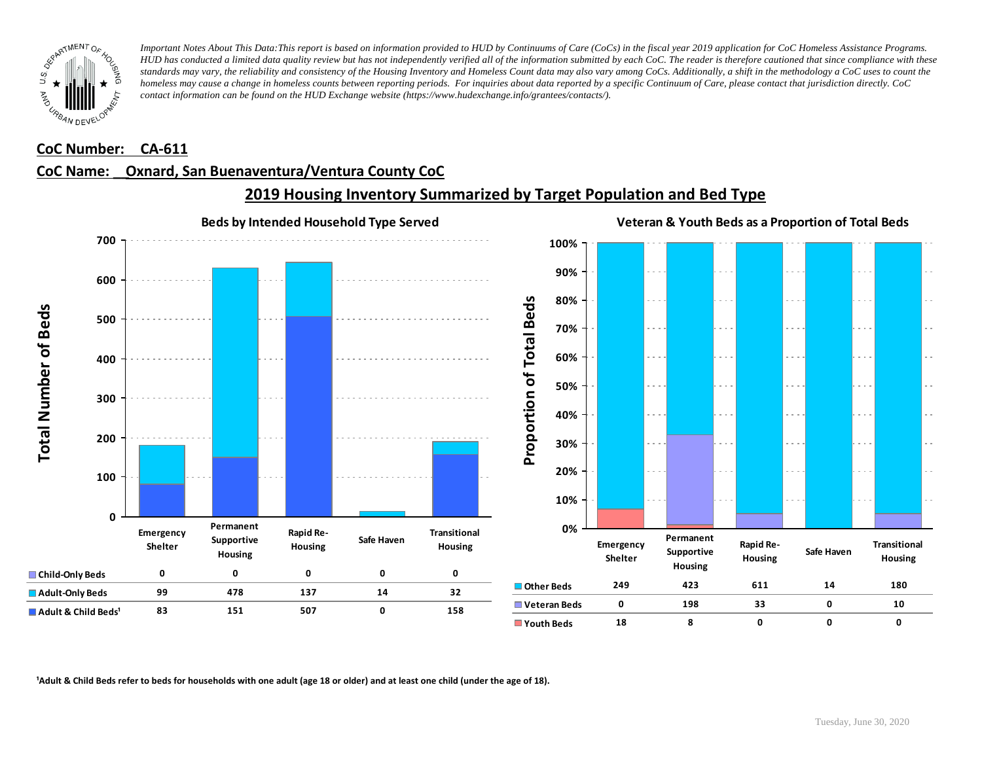

#### **CoC Number: CA-611**

# **CoC Name: \_\_ Oxnard, San Buenaventura/Ventura County CoC**



# **2019 Housing Inventory Summarized by Target Population and Bed Type**

<sup>1</sup> Adult & Child Beds refer to beds for households with one adult (age 18 or older) and at least one child (under the age of 18).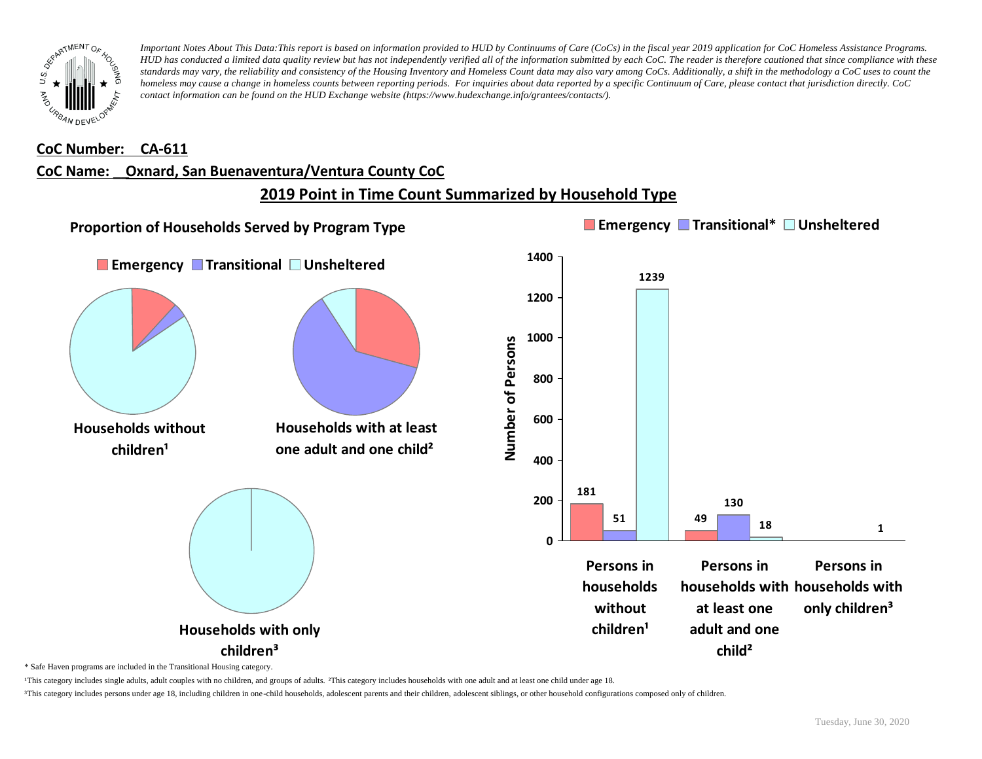

#### **CoC Number: CA-611**

#### **CoC Name: \_\_ Oxnard, San Buenaventura/Ventura County CoC**

# **2019 Point in Time Count Summarized by Household Type**



\* Safe Haven programs are included in the Transitional Housing category.

¹This category includes single adults, adult couples with no children, and groups of adults. ²This category includes households with one adult and at least one child under age 18.

³This category includes persons under age 18, including children in one-child households, adolescent parents and their children, adolescent siblings, or other household configurations composed only of children.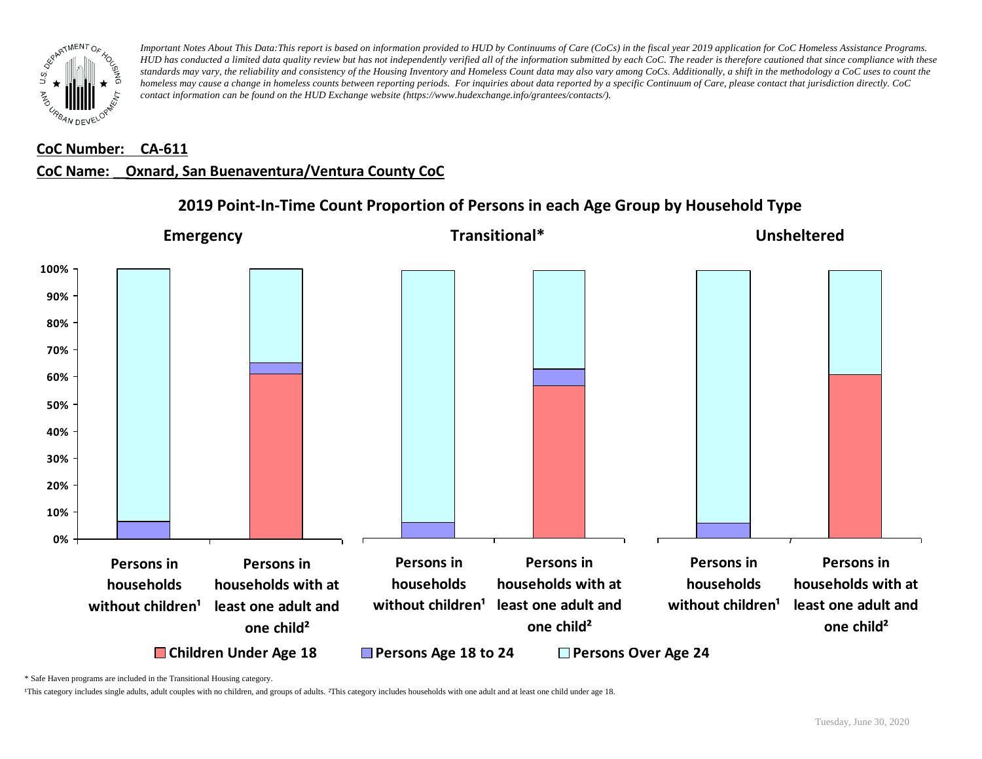

#### **CoC Number: CA-611**

### **CoC Name: \_\_ Oxnard, San Buenaventura/Ventura County CoC**



## **2019 Point-In-Time Count Proportion of Persons in each Age Group by Household Type**

\* Safe Haven programs are included in the Transitional Housing category.

¹This category includes single adults, adult couples with no children, and groups of adults. ²This category includes households with one adult and at least one child under age 18.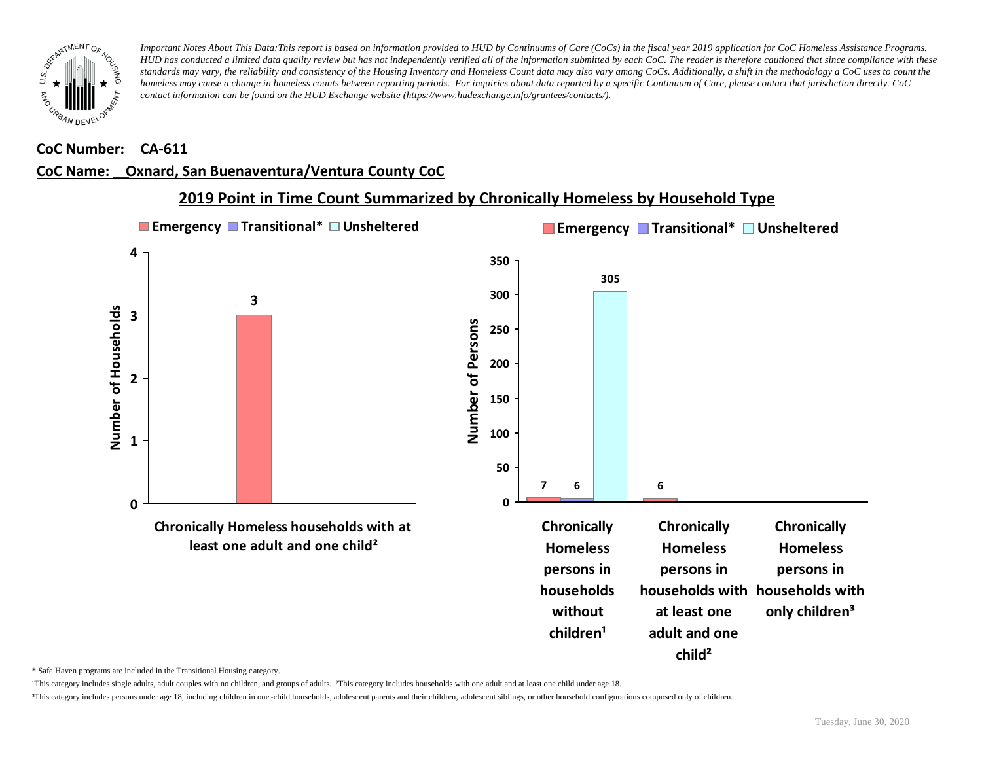

#### **CoC Number: CA-611**

### **CoC Name: \_\_ Oxnard, San Buenaventura/Ventura County CoC**



## **2019 Point in Time Count Summarized by Chronically Homeless by Household Type**

\* Safe Haven programs are included in the Transitional Housing category.

¹This category includes single adults, adult couples with no children, and groups of adults. ²This category includes households with one adult and at least one child under age 18.

³This category includes persons under age 18, including children in one -child households, adolescent parents and their children, adolescent siblings, or other household configurations composed only of children.